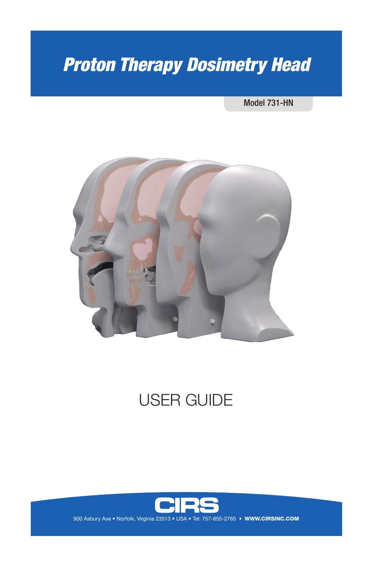# *Proton Therapy Dosimetry Head*

#### Model 731-HN



# USER GUIDE



900 Asbury Ave . Norfolk, Virginia 23513 . USA . Tel: 757-855-2765 . WWW.CIRSINC.COM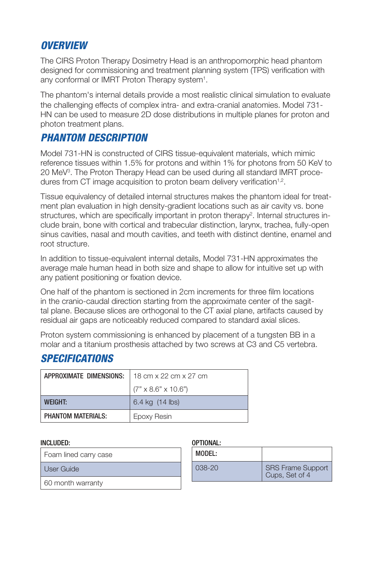## *OVERVIEW*

The CIRS Proton Therapy Dosimetry Head is an anthropomorphic head phantom designed for commissioning and treatment planning system (TPS) verification with any conformal or IMRT Proton Therapy system<sup>1</sup>.

The phantom's internal details provide a most realistic clinical simulation to evaluate the challenging effects of complex intra- and extra-cranial anatomies. Model 731- HN can be used to measure 2D dose distributions in multiple planes for proton and photon treatment plans.

# *PHANTOM DESCRIPTION*

Model 731-HN is constructed of CIRS tissue-equivalent materials, which mimic reference tissues within 1.5% for protons and within 1% for photons from 50 KeV to 20 MeV3 . The Proton Therapy Head can be used during all standard IMRT procedures from CT image acquisition to proton beam delivery verification<sup>1,2</sup>.

Tissue equivalency of detailed internal structures makes the phantom ideal for treatment plan evaluation in high density-gradient locations such as air cavity vs. bone structures, which are specifically important in proton therapy<sup>2</sup>. Internal structures include brain, bone with cortical and trabecular distinction, larynx, trachea, fully-open sinus cavities, nasal and mouth cavities, and teeth with distinct dentine, enamel and root structure.

In addition to tissue-equivalent internal details, Model 731-HN approximates the average male human head in both size and shape to allow for intuitive set up with any patient positioning or fixation device.

One half of the phantom is sectioned in 2cm increments for three film locations in the cranio-caudal direction starting from the approximate center of the sagittal plane. Because slices are orthogonal to the CT axial plane, artifacts caused by residual air gaps are noticeably reduced compared to standard axial slices.

Proton system commissioning is enhanced by placement of a tungsten BB in a molar and a titanium prosthesis attached by two screws at C3 and C5 vertebra.

# *SPECIFICATIONS*

| APPROXIMATE DIMENSIONS:   | 18 cm x 22 cm x 27 cm           |  |
|---------------------------|---------------------------------|--|
|                           | $(7" \times 8.6" \times 10.6")$ |  |
| <b>WFIGHT:</b>            | 6.4 kg (14 lbs)                 |  |
| <b>PHANTOM MATERIALS:</b> | Epoxy Resin                     |  |

#### INCLUDED: OPTIONAL:

Foam lined carry case

User Guide

60 month warranty

| MODEL: |                                            |
|--------|--------------------------------------------|
| 038-20 | <b>SRS Frame Support</b><br>Cups, Set of 4 |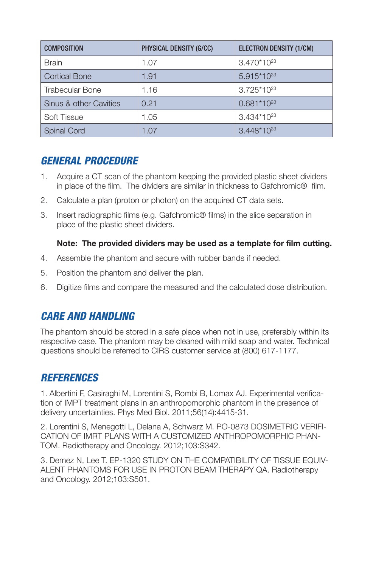| <b>COMPOSITION</b>     | PHYSICAL DENSITY (G/CC) | <b>ELECTRON DENSITY (1/CM)</b> |
|------------------------|-------------------------|--------------------------------|
| <b>Brain</b>           | 1.07                    | $3.470*10^{23}$                |
| <b>Cortical Bone</b>   | 1.91                    | $5.915*10^{23}$                |
| <b>Trabecular Bone</b> | 1.16                    | $3.725*10^{23}$                |
| Sinus & other Cavities | 0.21                    | $0.681*10^{23}$                |
| Soft Tissue            | 1.05                    | $3.434*10^{23}$                |
| <b>Spinal Cord</b>     | 1.07                    | $3.448*10^{23}$                |

# *GENERAL PROCEDURE*

- 1. Acquire a CT scan of the phantom keeping the provided plastic sheet dividers in place of the film. The dividers are similar in thickness to Gafchromic® film.
- 2. Calculate a plan (proton or photon) on the acquired CT data sets.
- 3. Insert radiographic films (e.g. Gafchromic® films) in the slice separation in place of the plastic sheet dividers.

#### **Note: The provided dividers may be used as a template for film cutting.**

- 4. Assemble the phantom and secure with rubber bands if needed.
- 5. Position the phantom and deliver the plan.
- 6. Digitize films and compare the measured and the calculated dose distribution.

## *CARE AND HANDLING*

The phantom should be stored in a safe place when not in use, preferably within its respective case. The phantom may be cleaned with mild soap and water. Technical questions should be referred to CIRS customer service at (800) 617-1177.

## *REFERENCES*

1. Albertini F, Casiraghi M, Lorentini S, Rombi B, Lomax AJ. Experimental verification of IMPT treatment plans in an anthropomorphic phantom in the presence of delivery uncertainties. Phys Med Biol. 2011;56(14):4415-31.

2. Lorentini S, Menegotti L, Delana A, Schwarz M. PO-0873 DOSIMETRIC VERIFI-CATION OF IMRT PLANS WITH A CUSTOMIZED ANTHROPOMORPHIC PHAN-TOM. Radiotherapy and Oncology. 2012;103:S342.

3. Demez N, Lee T. EP-1320 STUDY ON THE COMPATIBILITY OF TISSUE EQUIV-ALENT PHANTOMS FOR USE IN PROTON BEAM THERAPY QA. Radiotherapy and Oncology. 2012;103:S501.